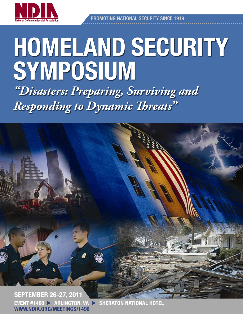

PROMOTING NATIONAL SECURITY SINCE 1919

SEPTEMBER 26-27, 2011

## HOMELAND SECURITY SYMPOSIUM *"Disasters: Preparing, Surviving and*

*Responding to Dynamic Threats"*



EVENT #1490 > ARLINGTON, VA > SHERATON NATIONAL HOTEL WWW.NDIA.ORG/MEETINGS/1490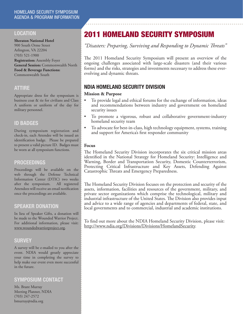#### HOMELAND SECURITY SYMPOSIUM AGENDA & PROGRAM INFORMATION

#### LOCATION

**Sheraton National Hotel** 900 South Orme Street Arlington, VA 22204 (703) 521-1900

**Registration:** Assembly Foyer **General Session:** Commonwealth North **Food & Beverage Functions:**  Commonwealth South

#### ATTIRE

Appropriate dress for the symposium is business coat & tie for civilians and Class A uniform or uniform of the day for military personnel.

#### ID BADGES

During symposium registration and check-in, each Attendee will be issued an identification badge. Please be prepared to present a valid picture ID. Badges must be worn at all symposium functions.

#### PROCEEDINGS

Proceedings will be available on the web through the Defense Technical Information Center (DTIC) two weeks after the symposium. All registered Attendees will receive an email notification once the proceedings are available.

#### SPEAKER DONATION

In lieu of Speaker Gifts, a donation will be made to the Wounded Warrior Project. For additional information, please visit: www.woundedwarriorproject.org.

#### **SURVEY**

A survey will be e-mailed to you after the event. NDIA would greatly appreciate your time in completing the survey to help make our event even more successful in the future.

#### SYMPOSIUM CONTACT

Ms. Brant Murray Meeting Planner, NDIA (703) 247-2572 bmurray@ndia.org

## 2011 HOMELAND SECURITY SYMPOSIUM

*"Disasters: Preparing, Surviving and Responding to Dynamic Threats"*

The 2011 Homeland Security Symposium will present an overview of the ongoing challenges associated with large-scale disasters (and their various forms) and the risks, strategies and investments necessary to address these everevolving and dynamic threats.

#### NDIA HOMELAND SECURITY DIVISION

#### **Mission & Purpose**

- To provide legal and ethical forums for the exchange of information, ideas and recommendations between industry and government on homeland security issues
- To promote a vigorous, robust and collaborative government-industry homeland security team
- To advocate for best-in-class, high technology equipment, systems, training and support for America's first responder community

#### **Focus**

The Homeland Security Division incorporates the six critical mission areas identified in the National Strategy for Homeland Security: Intelligence and Warning, Border and Transportation Security, Domestic Counterterrorism, Protecting Critical Infrastructure and Key Assets, Defending Against Catastrophic Threats and Emergency Preparedness.

The Homeland Security Division focuses on the protection and security of the assets, information, facilities and resources of the government, military, and private sector organizations which comprise the technological, military and industrial infrastructure of the United States. The Division also provides input and advice to a wide range of agencies and departments of federal, state, and local governments and to commercial, industrial and academic institutions.

To find out more about the NDIA Homeland Security Division, please visit: http://www.ndia.org/Divisions/Divisions/HomelandSecurity.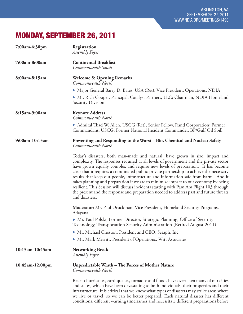## MONDAY, SEPTEMBER 26, 2011

| 7:00am-6:30pm   | Registration<br>Assembly Foyer                                                                                                                                                                                                                                                                                                                                                                                                                                                                                                                                                                                                                                                                                                           |
|-----------------|------------------------------------------------------------------------------------------------------------------------------------------------------------------------------------------------------------------------------------------------------------------------------------------------------------------------------------------------------------------------------------------------------------------------------------------------------------------------------------------------------------------------------------------------------------------------------------------------------------------------------------------------------------------------------------------------------------------------------------------|
| 7:00am-8:00am   | <b>Continental Breakfast</b><br>Commonwealth South                                                                                                                                                                                                                                                                                                                                                                                                                                                                                                                                                                                                                                                                                       |
| 8:00am-8:15am   | <b>Welcome &amp; Opening Remarks</b><br>Commonwealth North                                                                                                                                                                                                                                                                                                                                                                                                                                                                                                                                                                                                                                                                               |
|                 | Major General Barry D. Bates, USA (Ret), Vice President, Operations, NDIA                                                                                                                                                                                                                                                                                                                                                                                                                                                                                                                                                                                                                                                                |
|                 | ▶ Mr. Rich Cooper, Principal, Catalyst Partners, LLC; Chairman, NDIA Homeland<br>Security Division                                                                                                                                                                                                                                                                                                                                                                                                                                                                                                                                                                                                                                       |
| 8:15am-9:00am   | <b>Keynote Address</b><br>Commonwealth North                                                                                                                                                                                                                                                                                                                                                                                                                                                                                                                                                                                                                                                                                             |
|                 | Admiral Thad W. Allen, USCG (Ret), Senior Fellow, Rand Corporation; Former<br>Commandant, USCG; Former National Incident Commander, BP/Gulf Oil Spill                                                                                                                                                                                                                                                                                                                                                                                                                                                                                                                                                                                    |
| 9:00am-10:15am  | Preventing and Responding to the Worst - Bio, Chemical and Nuclear Safety<br>Commonwealth North                                                                                                                                                                                                                                                                                                                                                                                                                                                                                                                                                                                                                                          |
|                 | Today's disasters, both man-made and natural, have grown in size, impact and<br>complexity. The responses required at all levels of government and the private sector<br>have grown equally complex and require new levels of preparation. It has become<br>clear that it requires a coordinated public-private partnership to achieve the necessary<br>results that keep our people, infrastructure and information safe from harm. And it<br>takes planning and preparation if we are to minimize impact to our economy by being<br>resilient. This Session will discuss incidents starting with Pam Am Flight 103 through<br>the present and the response and preparation needed to address past and future threats<br>and disasters. |
|                 | Moderator: Mr. Paul Druckman, Vice President, Homeland Security Programs,<br>Adayana                                                                                                                                                                                                                                                                                                                                                                                                                                                                                                                                                                                                                                                     |
|                 | • Mr. Paul Polski, Former Director, Strategic Planning, Office of Security<br>Technology, Transportation Security Administration (Retired August 2011)                                                                                                                                                                                                                                                                                                                                                                                                                                                                                                                                                                                   |
|                 | • Mr. Michael Cheston, President and CEO, Seraph, Inc.                                                                                                                                                                                                                                                                                                                                                                                                                                                                                                                                                                                                                                                                                   |
|                 | • Mr. Mark Merritt, President of Operations, Witt Associates                                                                                                                                                                                                                                                                                                                                                                                                                                                                                                                                                                                                                                                                             |
| 10:15am-10:45am | <b>Networking Break</b><br><b>Assembly Foyer</b>                                                                                                                                                                                                                                                                                                                                                                                                                                                                                                                                                                                                                                                                                         |
| 10:45am-12:00pm | Unpredictable Wrath - The Forces of Mother Nature<br>Commonwealth North                                                                                                                                                                                                                                                                                                                                                                                                                                                                                                                                                                                                                                                                  |
|                 | Recent hurricanes, earthquakes, tornados and floods have overtaken many of our cities<br>and states, which have been devastating to both individuals, their properties and their<br>infrastructure. It is critical that we know what types of disasters may strike areas where<br>we live or travel, so we can be better prepared. Each natural disaster has different<br>conditions, different warning timeframes and necessitate different preparations before                                                                                                                                                                                                                                                                         |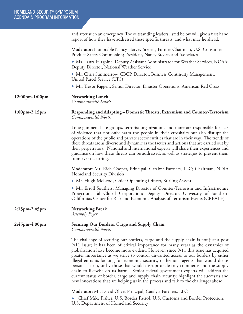$\mathcal{L}_{\text{max}}$ 

|                       | and after such an emergency. The outstanding leaders listed below will give a first hand<br>report of how they have addressed these specific threats, and what may lie ahead.                                                                                                                                                                                                                                                                                                                                                                                                                                                                                                                                                                                                                          |
|-----------------------|--------------------------------------------------------------------------------------------------------------------------------------------------------------------------------------------------------------------------------------------------------------------------------------------------------------------------------------------------------------------------------------------------------------------------------------------------------------------------------------------------------------------------------------------------------------------------------------------------------------------------------------------------------------------------------------------------------------------------------------------------------------------------------------------------------|
|                       | Moderator: Honorable Nancy Harvey Steorts, Former Chairman, U.S. Consumer<br>Product Safety Commission; President, Nancy Steorts and Associates                                                                                                                                                                                                                                                                                                                                                                                                                                                                                                                                                                                                                                                        |
|                       | • Ms. Laura Furgoine, Deputy Assistant Administrator for Weather Services, NOAA;<br>Deputy Director, National Weather Service                                                                                                                                                                                                                                                                                                                                                                                                                                                                                                                                                                                                                                                                          |
|                       | • Mr. Chris Summerrow, CBCP, Director, Business Continuity Management,<br>United Parcel Service (UPS)                                                                                                                                                                                                                                                                                                                                                                                                                                                                                                                                                                                                                                                                                                  |
|                       | • Mr. Trevor Riggen, Senior Director, Disaster Operations, American Red Cross                                                                                                                                                                                                                                                                                                                                                                                                                                                                                                                                                                                                                                                                                                                          |
| $12:00$ pm- $1:00$ pm | <b>Networking Lunch</b><br>Commonwealth South                                                                                                                                                                                                                                                                                                                                                                                                                                                                                                                                                                                                                                                                                                                                                          |
| $1:00$ pm-2:15pm      | Responding and Adapting – Domestic Threats, Extremism and Counter-Terrorism<br>Commonwealth North                                                                                                                                                                                                                                                                                                                                                                                                                                                                                                                                                                                                                                                                                                      |
|                       | Lone gunmen, hate groups, terrorist organizations and more are responsible for acts<br>of violence that not only harm the people in their crosshairs but also disrupt the<br>operations of the public and private sector entities that are in their way. The trends of<br>these threats are as diverse and dynamic as the tactics and actions that are carried out by<br>their perpetrators. National and international experts will share their experiences and<br>guidance on how these threats can be addressed, as well as strategies to prevent them<br>from ever occurring.                                                                                                                                                                                                                      |
|                       | Moderator: Mr. Rich Cooper, Principal, Catalyst Partners, LLC; Chairman, NDIA<br><b>Homeland Security Division</b>                                                                                                                                                                                                                                                                                                                                                                                                                                                                                                                                                                                                                                                                                     |
|                       | • Mr. Hugh McLeod, Chief Operating Officer, Stirling Assynt<br>• Mr. Erroll Southers, Managing Director of Counter-Terrorism and Infrastructure<br>Protection, Tal Global Corporation; Deputy Director, University of Southern<br>California's Center for Risk and Economic Analysis of Terrorism Events (CREATE)                                                                                                                                                                                                                                                                                                                                                                                                                                                                                      |
| 2:15pm-2:45pm         | <b>Networking Break</b><br><b>Assembly Foyer</b>                                                                                                                                                                                                                                                                                                                                                                                                                                                                                                                                                                                                                                                                                                                                                       |
| 2:45pm-4:00pm         | <b>Securing Our Borders, Cargo and Supply Chain</b><br>Commonwealth North                                                                                                                                                                                                                                                                                                                                                                                                                                                                                                                                                                                                                                                                                                                              |
|                       | The challenge of securing our borders, cargo and the supply chain is not just a post<br>9/11 issue; it has been of critical importance for many years as the dynamics of<br>globalization have become more evident. However, since 9/11 this issue has acquired<br>greater importance as we strive to control unwanted access to our borders by either<br>illegal entrants looking for economic security, or heinous agents that would do us<br>personal harm, or by those that would disrupt or destroy commerce and the supply<br>chain to likewise do us harm. Senior federal government experts will address the<br>current status of border, cargo and supply chain security, highlight the successes and<br>new innovations that are helping us in the process and talk to the challenges ahead. |
|                       | Moderator: Mr. David Olive, Principal, Catalyst Partners, LLC<br>Chief Mike Fisher, U.S. Border Patrol, U.S. Customs and Border Protection,<br>U.S. Department of Homeland Security                                                                                                                                                                                                                                                                                                                                                                                                                                                                                                                                                                                                                    |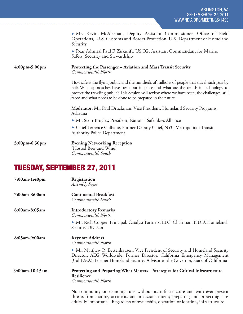|               | • Mr. Kevin McAleenan, Deputy Assistant Commissioner, Office of Field<br>Operations, U.S. Customs and Border Protection, U.S. Department of Homeland<br>Security<br>Rear Admiral Paul F. Zukunft, USCG, Assistant Commandant for Marine<br>Safety, Security and Stewardship                                                                                |
|---------------|------------------------------------------------------------------------------------------------------------------------------------------------------------------------------------------------------------------------------------------------------------------------------------------------------------------------------------------------------------|
| 4:00pm-5:00pm | Protecting the Passenger – Aviation and Mass Transit Security<br>Commonwealth North                                                                                                                                                                                                                                                                        |
|               | How safe is the flying public and the hundreds of millions of people that travel each year by<br>rail? What approaches have been put in place and what are the trends in technology to<br>protect the traveling public? This Session will review where we have been, the challenges still<br>faced and what needs to be done to be prepared in the future. |
|               | Moderator: Mr. Paul Druckman, Vice President, Homeland Security Programs,<br>Adayana                                                                                                                                                                                                                                                                       |
|               | • Mr. Scott Broyles, President, National Safe Skies Alliance                                                                                                                                                                                                                                                                                               |
|               | Chief Terrence Culhane, Former Deputy Chief, NYC Metropolitan Transit<br><b>Authority Police Department</b>                                                                                                                                                                                                                                                |
| 5:00pm-6:30pm | <b>Evening Networking Reception</b><br>(Hosted Beer and Wine)<br>Commonwealth South                                                                                                                                                                                                                                                                        |

## TUESDAY, SEPTEMBER 27, 2011

| 7:00am-1:40pm    | Registration<br>Assembly Foyer                                                                                                                                                                                                                   |
|------------------|--------------------------------------------------------------------------------------------------------------------------------------------------------------------------------------------------------------------------------------------------|
| 7:00am-8:00am    | <b>Continental Breakfast</b><br>Commonwealth South                                                                                                                                                                                               |
| 8:00am-8:05am    | <b>Introductory Remarks</b><br>Commonwealth North                                                                                                                                                                                                |
|                  | ▶ Mr. Rich Cooper, Principal, Catalyst Partners, LLC; Chairman, NDIA Homeland<br><b>Security Division</b>                                                                                                                                        |
| 8:05am-9:00am    | <b>Keynote Address</b><br>Commonwealth North                                                                                                                                                                                                     |
|                  | • Mr. Matthew R. Bettenhausen, Vice President of Security and Homeland Security<br>Director, AEG Worldwide; Former Director, California Emergency Management<br>(Cal-EMA); Former Homeland Security Advisor to the Governor, State of California |
| $9:00am-10:15am$ | Protecting and Preparing What Matters – Strategies for Critical Infrastructure<br><b>Resilience</b><br>Commonwealth North                                                                                                                        |
|                  | No community or economy runs without its infrastructure and with ever present<br>threats from nature, accidents and malicious intent; preparing and protecting it is                                                                             |

critically important. Regardless of ownership, operation or location, infrastructure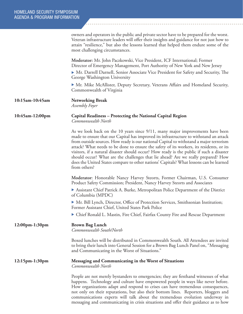$\mathcal{L}_{\text{max}}$ 

|                       | owners and operators in the public and private sector have to be prepared for the worst.<br>Veteran infrastructure leaders will offer their insights and guidance for not just how to<br>attain "resilience," but also the lessons learned that helped them endure some of the<br>most challenging circumstances.                                                                                                                                                                                                                                                                                                                                        |
|-----------------------|----------------------------------------------------------------------------------------------------------------------------------------------------------------------------------------------------------------------------------------------------------------------------------------------------------------------------------------------------------------------------------------------------------------------------------------------------------------------------------------------------------------------------------------------------------------------------------------------------------------------------------------------------------|
|                       | Moderator: Mr. John Paczkowski, Vice President, ICF International; Former<br>Director of Emergency Management, Port Authority of New York and New Jersey                                                                                                                                                                                                                                                                                                                                                                                                                                                                                                 |
|                       | ► Mr. Darrell Darnell, Senior Associate Vice President for Safety and Security, The<br>George Washington University                                                                                                                                                                                                                                                                                                                                                                                                                                                                                                                                      |
|                       | • Mr. Mike McAllister, Deputy Secretary, Veterans Affairs and Homeland Security,<br>Commonwealth of Virginia                                                                                                                                                                                                                                                                                                                                                                                                                                                                                                                                             |
| 10:15am-10:45am       | <b>Networking Break</b><br>Assembly Foyer                                                                                                                                                                                                                                                                                                                                                                                                                                                                                                                                                                                                                |
| 10:45am-12:00pm       | Capital Readiness - Protecting the National Capital Region<br>Commonwealth North                                                                                                                                                                                                                                                                                                                                                                                                                                                                                                                                                                         |
|                       | As we look back on the 10 years since 9/11, many major improvements have been<br>made to ensure that our Capital has improved its infrastructure to withstand an attack<br>from outside sources. How ready is our national Capital to withstand a major terrorism<br>attack? What needs to be done to ensure the safety of its workers, its residents, or its<br>visitors, if a natural disaster should occur? How ready is the public if such a disaster<br>should occur? What are the challenges that lie ahead? Are we really prepared? How<br>does the United States compare to other nations' Capitals? What lessons can be learned<br>from others? |
|                       | Moderator: Honorable Nancy Harvey Steorts, Former Chairman, U.S. Consumer<br>Product Safety Commission; President, Nancy Harvey Steorts and Associates                                                                                                                                                                                                                                                                                                                                                                                                                                                                                                   |
|                       | Assistant Chief Patrick A. Burke, Metropolitan Police Department of the District<br>of Columbia (MPDC)                                                                                                                                                                                                                                                                                                                                                                                                                                                                                                                                                   |
|                       | • Mr. Bill Lynch, Director, Office of Protection Services, Smithsonian Institution;<br>Former Assistant Chief, United States Park Police                                                                                                                                                                                                                                                                                                                                                                                                                                                                                                                 |
|                       | ► Chief Ronald L. Mastin, Fire Chief, Fairfax County Fire and Rescue Department                                                                                                                                                                                                                                                                                                                                                                                                                                                                                                                                                                          |
| 12:00pm-1:30pm        | <b>Brown Bag Lunch</b><br>Commonwealth South/North                                                                                                                                                                                                                                                                                                                                                                                                                                                                                                                                                                                                       |
|                       | Boxed lunches will be distributed in Commonwealth South. All Attendees are invited<br>to bring their lunch into General Session for a Brown Bag Lunch Panel on, "Messaging<br>and Communicating in the Worst of Situations."                                                                                                                                                                                                                                                                                                                                                                                                                             |
| $12:15$ pm- $1:30$ pm | Messaging and Communicating in the Worst of Situations<br>Commonwealth North                                                                                                                                                                                                                                                                                                                                                                                                                                                                                                                                                                             |
|                       | People are not merely bystanders to emergencies; they are firsthand witnesses of what<br>happens. Technology and culture have empowered people in ways like never before.<br>How organizations adapt and respond to crises can have tremendous consequences,<br>not only on their reputations, but also their bottom lines. Reporters, bloggers and<br>communications experts will talk about the tremendous evolution underway in<br>messaging and communicating in crisis situations and offer their guidance as to how                                                                                                                                |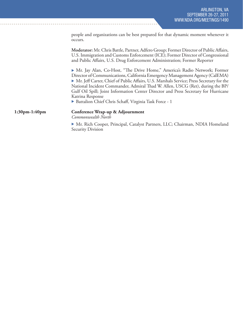people and organizations can be best prepared for that dynamic moment whenever it occurs.

**Moderator:** Mr. Chris Battle, Partner, Adfero Group; Former Director of Public Affairs, U.S. Immigration and Customs Enforcement (ICE); Former Director of Congressional and Public Affairs, U.S. Drug Enforcement Administration; Former Reporter

▶ Mr. Jay Alan, Co-Host, "The Drive Home," America's Radio Network; Former Director of Communications, California Emergency Management Agency (CalEMA) ▶ Mr. Jeff Carter, Chief of Public Affairs, U.S. Marshals Service; Press Secretary for the National Incident Commander, Admiral Thad W. Allen, USCG (Ret), during the BP/ Gulf Oil Spill; Joint Information Center Director and Press Secretary for Hurricane Katrina Response

▶ Battalion Chief Chris Schaff, Virginia Task Force - 1

#### **1:30pm-1:40pm Conference Wrap-up & Adjournment**

*Commonwealth North*

 $\triangleright$  Mr. Rich Cooper, Principal, Catalyst Partners, LLC; Chairman, NDIA Homeland Security Division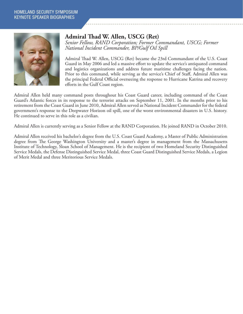

#### **Admiral Thad W. Allen, USCG (Ret)**

*Senior Fellow, RAND Corporation; Former Commandant, USCG; Former National Incident Commander, BP/Gulf Oil Spill*

Admiral Thad W. Allen, USCG (Ret) became the 23rd Commandant of the U.S. Coast Guard in May 2006 and led a massive effort to update the service's antiquated command and logistics organizations and address future maritime challenges facing the nation. Prior to this command, while serving as the service's Chief of Staff, Admiral Allen was the principal Federal Official overseeing the response to Hurricane Katrina and recovery efforts in the Gulf Coast region.

Admiral Allen held many command posts throughout his Coast Guard career, including command of the Coast Guard's Atlantic forces in its response to the terrorist attacks on September 11, 2001. In the months prior to his retirement from the Coast Guard in June 2010, Admiral Allen served as National Incident Commander for the federal government's response to the Deepwater Horizon oil spill, one of the worst environmental disasters in U.S. history. He continued to serve in this role as a civilian.

Admiral Allen is currently serving as a Senior Fellow at the RAND Corporation. He joined RAND in October 2010.

Admiral Allen received his bachelor's degree from the U.S. Coast Guard Academy, a Master of Public Administration degree from The George Washington University and a master's degree in management from the Massachusetts Institute of Technology, Sloan School of Management. He is the recipient of two Homeland Security Distinguished Service Medals, the Defense Distinguished Service Medal, three Coast Guard Distinguished Service Medals, a Legion of Merit Medal and three Meritorious Service Medals.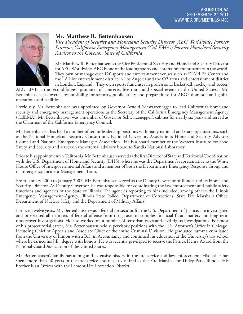

#### **Mr. Matthew R. Bettenhausen**

*Vice President of Security and Homeland Security Director, AEG Worldwide; Former Director, California Emergency Management (Cal-EMA); Former Homeland Security Advisor to the Govenor, State of California*

Mr. Matthew R. Bettenhausen is the Vice President of Security and Homeland Security Director for AEG Worldwide. AEG is one of the leading sports and entertainment presenters in the world. They own or manage over 120 sports and entertainment venues such as STAPLES Center and the LA Live entertainment district in Los Angeles and the O2 arena and entertainment district in London, England. They own sports franchises in professional basketball, hockey and soccer.

AEG LIVE is the second largest promoter of concerts, live tours and special events in the United States. Mr. Bettenhausen has overall responsibility for security, public safety and preparedness for AEG's domestic and global operations and facilities.

Previously, Mr. Bettenhausen was appointed by Governor Arnold Schwarzenegger to lead California's homeland security and emergency management operations as the Secretary of the California Emergency Management Agency (CalEMA). Mr. Bettenhausen was a member of Governor Schwarzenegger's cabinet for nearly six years and served as the Chairman of the California Emergency Council.

Mr. Bettenhausen has held a number of senior leadership positions with many national and state organizations, such as the National Homeland Security Consortium, National Governors Association's Homeland Security Advisors Council and National Emergency Managers Association. He is a board member of the Western Institute for Food Safety and Security and serves on the external advisory board to Sandia National Laboratory.

Prior to his appointment in California, Mr. Bettenhausen served as the first Director of State and Territorial Coordination with the U.S. Department of Homeland Security (DHS), where he was the Department's representative to the White House Office of Intergovernmental Affairs and a member of both the Department's Emergency Response Group and its Interagency Incident Management Team.

From January 2000 to January 2003, Mr. Bettenhausen served as the Deputy Governor of Illinois and its Homeland Security Director. As Deputy Governor, he was responsible for coordinating the law enforcement and public safety functions and agencies of the State of Illinois. The agencies reporting to him included, among others: the Illinois Emergency Management Agency, Illinois State Police, Department of Corrections, State Fire Marshal's Office, Department of Nuclear Safety and the Department of Military Affairs.

For over twelve years, Mr. Bettenhausen was a federal prosecutor for the U.S. Department of Justice. He investigated and prosecuted all manners of federal offense from drug cases to complex financial fraud matters and long-term undercover investigations. He also worked on a number of terrorism cases and civil rights investigations. For most of his prosecutorial career, Mr. Bettenhausen held supervisory positions with the U.S. Attorney's Office in Chicago, including Chief of Appeals and Associate Chief of the entire Criminal Division. He graduated summa cum laude from the University of Illinois with a B.S. in Accountancy and continued his education at the University's law school where he earned his J.D. degree with honors. He was recently privileged to receive the Patrick Henry Award from the National Guard Association of the United States.

Mr. Bettenhausen's family has a long and extensive history in the fire service and law enforcement. His father has spent more than 50 years in the fire service and recently retired as the Fire Marshal for Tinley Park, Illinois. His brother is an Officer with the Lemont Fire Protection District.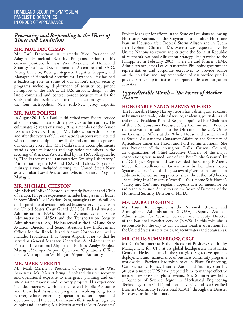#### *Preventing and Responding to the Worst of Times and Conditions*

#### **MR. PAUL DRUCKMAN**

Mr. Paul Druckman is currently Vice President of Adayana Homeland Security Programs. Prior to his current position, he was Vice President of Homeland Security Business Development at Accenture and SAIC, Acting Director, Boeing Integrated Logistics Support, and Manager of Homeland Security for Raytheon. He has had a leadership role in some of our nation's major security programs including deployment of security equipment in support of the TSA at all U.S. airports, design of the latest command and control border security vehicles for CBP and the perimeter intrusion detection systems at the four metropolitan New York/New Jersey airports.

#### **MR. PAUL POLISKI**

In August 2011, Mr. Paul Polski retired from Federal service after 55 Years of Extraordinary Service to his country. He culminates 25 years of service, 20 as a member of the Senior Executive Service. Through Mr. Polski's leadership before and after the events of 9/11 our nation's airports were secured with the finest equipment available and continue to protect our country every day. Mr. Polski's many accomplishments stand as both milestones and inspiration for others in the securing of America. As described by his TSA colleagues, he is, "The Father of the Transportation Security Laboratory." Prior to joining the FAA and TSA, Mr. Polski's 30 years of military service included serving the United States Navy as a Combat Naval Aviator and Mission Critical Program Manager.

#### **MR. MICHAEL CHESTON**

Mr. Michael "Mike" Cheston is currently President and CEO of Seraph. His prior experience includes being a senior leader in Booz Allen's Civil Aviation Team, managing a multi-million dollar portfolio of aviation related business serving clients in the United States Coast Guard (USCG), Federal Aviation Administration (FAA), National Aeronautics and Space Administration (NASA) and the Transportation Security Administration (TSA). He has served as the CEO and State Aviation Director and Senior Aviation Law Enforcement Officer for the Rhode Island Airport Corporation, which includes Providence T. F. Green Airport. Prior to that he served as General Manager, Operations & Maintenance at Portland International Airport and Business Analyst/Project Manager/Manager Airport Operations/Operations Officer for the Metropolitan Washington Airports Authority.

#### **MR. MARK MERRITT**

Mr. Mark Merritt is President of Operations for Witt Associates. Mr. Merritt brings first-hand disaster recovery and operational expertise to emergency planning and onsite disaster response and recovery projects. His experience includes extensive work in the federal Public Assistance and Individual Assistance programs involving long term recovery efforts, emergency operations center support and operations, and Incident Command efforts such as Logistics, Supply and Planning. Mr. Merritt served as Witt Associates'

Project Manager for efforts in the State of Louisiana following Hurricane Katrina, in the Cayman Islands after Hurricane Ivan, in Houston after Tropical Storm Allison and in Guam after Typhoon Chata'an. Mr. Merritt was requested by the United Nations to review and critique the Socialist Republic of Vietnam's National Mitigation Strategy. He traveled to the Philippines in February 2003, where he and former FEMA Administrator, James Lee Witt met with Philippine government representatives and corporate executives to provide advice on the creation and implementation of nationwide publicprivate partnership initiatives in support of disaster mitigation activities.

#### *Unpredictable Wrath – The Forces of Mother Nature*

#### **HONORABLE NANCY HARVEY STEORTS**

The Honorable Nancy Harvey Steorts has a distinguished career in business and trade, political service, academia, journalism and real estate. President Ronald Reagan appointed her Chairman of the U.S. Consumer Product Safety Commission. Prior to that she was a consultant to the Director of the U.S. Office on Consumer Affairs at the White House and earlier served as Special Assistant for Consumer Affairs to the Secretary of Agriculture under the Nixon and Ford administrations. She was President of the prestigious Dallas Citizens Council, an organization of Chief Executive Officers of the major corporations; was named "one of the Best Public Servants" by the Gallagher Report; and was awarded the George P. Arents Medal for Excellence in Government by her alma mater, Syracuse University – the highest award given to an alumna. in addition to her consulting practice, she is the author of 3 books, "Safe Living in a Dangerous World", "Your Home Safe Home", "Safety and You". and regularly appears as a commentator on radio and television. She serves on the Board of Directors of the Homeland Security Division of NDIA.

#### **MS. LAURA FURGIONE**

Ms. Laura K. Furgione is the National Oceanic and Atmospheric Administration (NOAA) Deputy Assistant Administrator for Weather Services and Deputy Director of the National Weather Service (NWS). In this role, she is responsible for the day-to-day civilian weather operations for the United States, its territories, adjacent waters and ocean areas.

#### **MR. CHRIS SUMMERROW, CBCP**

Mr. Chris Summerrow is the Director of Business Continuity Management for UPS at its global headquarters in Atlanta, Georgia. He leads teams in the strategic design, development, deployment and maintenance of business continuity programs worldwide. Previous leadership roles in Plant Engineering, Compliance & Ethics, Internal Audit and Security over his 30 year tenure at UPS have prepared him to manage effective incident response for global events. Mr. Summerrow holds a Bachelor of Science degree in Mechanical Engineering Technology from Old Dominion University and is a Certified Business Continuity Professional (CBCP) through the Disaster Recovery Institute International.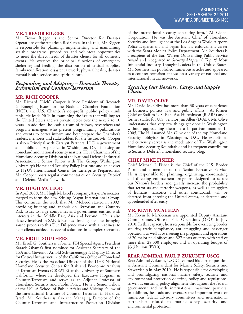#### **MR. TREVOR RIGGEN**

Mr. Trevor Riggen is the Senior Director for Disaster Operations of the American Red Cross. In this role, Mr. Riggen is responsible for planning, implementing and maintaining scalable programs, procedures and volunteer opportunities to meet the direct needs of disaster clients for all domestic events. He oversees the principal functions of emergency sheltering and feeding, the distribution of critical supplies, family reunification, disaster casework, physical health, disaster mental health services and spiritual care.

#### *Responding and Adapting – Domestic Threats, Extremism and Counter-Terrorism*

#### **MR. RICH COOPER**

Mr. Richard "Rich" Cooper is Vice President of Research & Emerging Issues for the National Chamber Foundation (NCF), the U.S. Chamber's nonprofit, public policy think tank. He leads NCF in examining the issues that will impact the United States and its private sector over the next 2 to 10 years. In addition, he leads a team of fellows, researchers and program managers who present programming, publications and events to better inform and best prepare the Chamber's leaders, members and stakeholders for the future. Mr. Cooper is also a Principal with Catalyst Partners, LLC, a government and public affairs practice in Washington, D.C. focusing on homeland and national security matters. He is Chairman of the Homeland Security Division of the National Defense Industrial Association, a Senior Fellow with The George Washington University's Homeland Security Policy Institute and an adviser to NYU's International Center for Enterprise Preparedness. Mr. Cooper posts regular commentaries on Security Debrief and Defense Media Network.

#### **MR. HUGH MCLEOD**

In April 2008, Mr. Hugh McLeod's company, Assynt Associates, merged to form the new Stirling Assynt International Group. This continues the work that Mr. McLeod started in 2003, providing briefing and analysis on Terrorism and Country Risk issues to large companies and government entities with interests in the Middle East, Asia and beyond. He is also closely involved in SAIG's Business Intelligence line, bringing sound process to this Due Diligence work, with a readiness to help clients achieve successful solutions in complex scenarios.

#### **MR. EROLL SOUTHERS**

Mr. Erroll G. Southers is a former FBI Special Agent, President Barack Obama's first nominee for Assistant Secretary of the TSA and Governor Arnold Schwarzenegger's Deputy Director for Critical Infrastructure of the California Office of Homeland Security. He is the Associate Director of the DHS National Homeland Security Center for Risk and Economic Analysis of Terrorism Events (CREATE) at the University of Southern California, where he developed the Executive Program in Counter-Terrorism and serves as an Adjunct Professor of Homeland Security and Public Policy. He is a Senior Fellow of the UCLA School of Public Affairs and Visiting Fellow of the International Institute of Counter-Terrorism in Herzliya, Israel. Mr. Southers is also the Managing Director of the Counter-Terrorism and Infrastructure Protection Division

of the international security consulting firm, TAL Global Corporation. He was the Assistant Chief of Homeland Security and Intelligence at the Los Angeles World Airports Police Department and began his law enforcement career with the Santa Monica Police Department. Mr. Southers is a recipient of the Earl Warren Outstanding Public Service Award and recognized in *Security Magazine's* Top 25 Most Influential Industry Thought Leaders in the United States. Mr. Southers has published numerous articles and appeared as a counter-terrorism analyst on a variety of national and international media networks.

#### *Securing Our Borders, Cargo and Supply Chain*

#### **MR. DAVID OLIVE**

Mr. David M. Olive has more than 30 years of experience in business, politics, law and public affairs. As former Chief of Staff to U.S. Rep. Asa Hutchinson (R-AR3) and a former staffer for U.S. Senator Jim Allen (D-AL), Mr. Olive understands that very few things get done in Washington without approaching them in a bi-partisan manner. In 2005, The Hill named Mr. Olive one of the top Homeland Security lobbyists in Washington, D.C. He established and currently serves as the moderator of The Washington Homeland Security Roundtable and is a frequent contributor to Security Debrief, a homeland security blog.

#### **CHIEF MIKE FISHER**

Chief Michael J. Fisher is the Chief of the U.S. Border Patrol and a member of the Senior Executive Service. He is responsible for planning, organizing, coordinating and directing enforcement programs designed to secure our Nation's borders and greatly increase the probability that terrorists and terrorist weapons, as well as smugglers of humans, narcotics and other contraband, will be deterred from entering the United States, or detected and apprehended after entry.

#### **MR. KEVIN MCALEEAN**

Mr. Kevin K. McAleenan was appointed Deputy Assistant Commissioner, Office of Field Operations (OFO), in July 2010. In this capacity, he is responsible for overseeing border security, trade compliance, anti-smuggling and passenger operations as well as overseeing the programs and operations of 20 major field offices and 327 ports of entry with staff of more than 28,000 employees and an operating budget of \$3.3 billion (FY10).

#### **REAR ADMIRAL PAUL F. ZUKUNFT, USCG**

Rear Admiral Zukunft, USCG assumed his current position as Assistant Commandant for Marine Safety, Security and Stewardship in May 2010. He is responsible for developing and promulgating national marine safety, security and environmental protection doctrine, policy and regulations, as well as ensuring policy alignment throughout the federal government and with international maritime partners. In addition, he leads and oversees the important work of numerous federal advisory committees and international partnerships related to marine safety, security and environmental protection.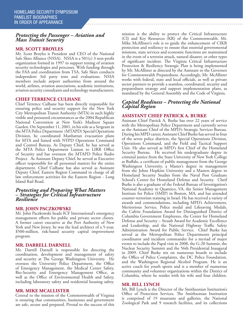#### *Protecting the Passenger – Aviation and Mass Transit Security*

#### **MR. SCOTT BROYLES**

Mr. Scott Broyles is President and CEO of the National Safe Skies Alliance (NSSA). NSSA is a 501(c) 3 non-profit organization formed in 1997 to support testing of aviation security technologies and processes. With funding through the FAA and coordination from TSA, Safe Skies conducts independent 3rd party tests and evaluations. NSSA members include airport authorities from around the world, airlines, aviation associations, academic institutions, aviation security consultants and technology manufacturers.

#### **CHIEF TERRENCE CULHANE**

Chief Terrence Culhane has been directly responsible for ensuring police and security support for the New York City Metropolitan Transit Authority (MTA) in such highly visible and pressured circumstances as the 2004 Republican National Convention at New York's Madison Square Garden. On September 11, 2001, in his role as a Sergeant in the MTA Police Department (MTAPD) Special Operations Division, he coordinated Manhattan evacuation plans for MTA and liaised with NYPD Operations Command and Control Bureau. As Deputy Chief, he has served as the MTA Police Department Liaison to LIRR Office of Security and has overseen the MTAPD Police Radio Project. As Assistant Deputy Chief, he served as Executive officer responsible for all personnel matters for the entire department. Chief Culhane has also served as Assistant Deputy Chief, Eastern Region Command in charge of all law enforcement activities for the Eastern Region - Long Island Rail Road.

#### *Protecting and Preparing What Matters – Strategies for Critical Infrastructure Resilience*

#### **MR. JOHN PACZKOWSKI**

Mr. John Paczkowski heads ICF International's emergency management efforts for public and private sector clients. A former career executive at the Port Authority of New York and New Jersey, he was the lead architect of a 5-year, \$500-million, risk-based security capital improvement program.

#### **MR. DARRELL DARNELL**

Mr. Darrell Darnell is responsible for directing the coordination, development and management of safety and security at The George Washington University. He oversees the University Police Department, the Office of Emergency Management, the Medical Center Safety, Bio-Security and Emergency Management Office, as well as the Office of Environmental Health and Safety, including laboratory safety and residential housing safety.

#### **MR. MIKE MCALLISTER**

Central to the mission of the Commonwealth of Virginia is ensuring that communities, businesses and government are safe, secure and prepared. Pivotal to the success of this

mission is the ability to protect the Critical Infrastructure (CI) and Key Resources (KR) of the Commonwealth. Mr. Mike McAllister's role is to guide the enhancement of CIKR protection and resiliency to ensure that essential governmental missions, state services and economic functions are maintained in the event of a terrorist attack, natural disaster, or other types of significant incident. The Virginia Critical Infrastructure Protection & Resiliency Strategic Plan is being implemented by Mr. McAllister as directed by the Assistant to the Governor for Commonwealth Preparedness. Accordingly, Mr. McAllister works with federal, state and local officials, as well as private sector partners to provide a seamless, coordinated, security and preparedness strategy and support implementation plans, as mandated by the General Assembly and the Code of Virginia.

#### *Capital Readiness – Protecting the National Capital Region*

#### **ASSISTANT CHIEF PATRICK A. BURKE**

Assistant Chief Patrick A. Burke has over 22 years of service with the Metropolitan Police Department and currently serves as the Assistant Chief of the MPD's Strategic Services Bureau. During his MPD career, Assistant Chief Burke has served in four of the seven police districts, the Special Operations Division, Operations Command, and the Field and Tactical Support Unit. He also served as MPD's first Chief of the Homeland Security Bureau. He received his undergraduate degree in criminal justice from the State University of New York College at Buffalo, a certificate of public management from the George Washington University, a Master's degree in management from the Johns Hopkins University and a Masters degree in Homeland Security Studies from the Naval Post Graduate School's Center for Homeland Defense and Security. Cheif Burke is also a graduate of the Federal Bureau of Investigation's National Academy in Quantico, VA, the Senior Management Institute for Police (SMIP) in Boston, MA, and has attended counter-terrorism training in Israel. He has received a variety of awards and commendations, including MPD's Achievement, Meritorious Service, Police medal and Lifesaving Medals, the Cafritz Foundation Award for Distinguished District of Columbia Government Employees, the Center for Homeland Defense and Security – Straub Award for Academic Excellence and Leadership, and the National Highway Traffic Safety Administration Award for Public Service. Chief Burke has served as the Metropolitan Police Departments principal coordinator and incident commander for a myriad of major events to include the Papal visit in 2008, the G-20 Summit, the Nuclear Security Summit and the 56th Presidential Inaugural in 2009. Chief Burke sits on numerous boards to include the Office of Police Complaints, the DC Police Foundation, and the Washington Regional Alcohol Program. He is an active coach for youth sports and is a member of numerous community and volunteer organizations within the District of Columbia, where he resides with his wife and four children.

#### **MR. BILL LYNCH**

Mr. Bill Lynch is the Director of the Smithsonian Institution's Office of Protection Services. The Smithsonian Institution is comprised of 19 museums and galleries, the National Zoological Park and 9 research facilities, and its collections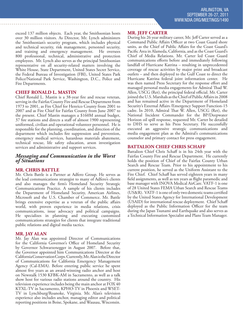exceed 137 million objects. Each year, the Smithsonian hosts over 30 million visitors. As Director, Mr. Lynch administers the Smithsonian's security program, which includes physical and technical security, risk management, personnel security, and training and emergency management. He oversees 800 professional, technical, administrative and protection employees. Mr. Lynch also serves as the principal Smithsonian representative on all security-related matters involving the White House, State Department, United States Secret Service, the Federal Bureau of Investigation (FBI), United States Park Police/National Park Service, Washington, D.C., Police and Fire Departments.

#### **CHIEF RONALD L. MASTIN**

Chief Ronald L. Mastin is a 38-year fire and rescue veteran, serving in the Fairfax County Fire and Rescue Department from 1973 to 2001, as Fire Chief for Henrico County from 2001 to 2007 and as Fire Chief for Fairfax County from June 2007 to the present. Chief Mastin manages a \$160M annual budget, 37 fire stations and directs a staff of almost 1900 representing uniformed, civilian and operational volunteer personnel. He is responsible for the planning, coordination, and direction of the department which includes fire suppression and prevention, emergency medical services, hazardous materials abatement, technical rescue, life safety education, arson investigation services and administrative and support services.

#### *Messaging and Communication in the Worst of Situations*

#### **MR. CHRIS BATTLE**

Mr. Chris Battle is a Partner at Adfero Group. He serves as the lead communications strategist to many of Adfero's clients and also manages the firm's Homeland Security Strategic Communications Practice. A sample of his clients includes the Department of Homeland Security, American Airlines, Microsoft and the U.S. Chamber of Commerce. Mr. Battle brings extensive expertise as a veteran of the public affairs world, with proven experience in media relations, crisis communications, issue advocacy and political campaigns. He specializes in planning and executing customized communications strategies for clients that integrate traditional public relations and digital media tactics.

#### **MR. JAY ALAN**

Mr. Jay Alan was appointed Director of Communications for the California Governor's Office of Homeland Security by Governor Schwarzenegger in August 2007. Before that, the Governor appointed him Communications Director at the California Conservation Corps. Currently, Mr. Alan is the Director of Communications for California Emergency Management Agency (Cal-EMA). Before entering public service he spent almost five years as an award-winning radio anchor and host on Newstalk 1530 KFBK-AM in Sacramento, as well as a talk show host for various radio stations around the country. His television experience includes being the main anchor at FOX 40 KTXL-TV in Sacramento, KPHO-TV in Phoenix and WSET-TV in Lynchburg/Roanoke, Virginia. Mr. Alan's television experience also includes anchor, managing editor and political reporting positions in Boise, Spokane, and Wausau, Wisconsin.

#### **MR. JEFF CARTER**

During his 26 year military career, Mr. Jeff Carter served as a Command Public Affairs Officer at two Coast Guard shore units, as the Chief of Public Affairs for the Coast Guard's Pacific Area in Alameda, California, and as the Coast Guard's Chief of Media Relations. Mr. Carter led Coast Guard communications efforts before and immediately following landfall of Hurricane Katrina – resulting in unprecedented coverage of rescue activities by major print and broadcast outlets – and then deployed to the Gulf Coast to direct the Hurricane Katrina federal joint information center. He was then named Press Secretary for the response effort and managed personal media engagements for Admiral Thad W. Allen, USCG (Ret), the principal federal official. Mr. Carter joined the U.S. Marshals as the Chief of Public Affairs in 2008 and has remained active in the Department of Homeland Security's External Affairs /Emergency Support Function-15 cadre. In 2010, Admiral That W. Allen, USCG (Ret), the National Incident Commander for the BP/Deepwater Horizon oil spill response, requested Mr. Carter be detailed to DHS to serve as his Press Secretary. He successfully executed an aggressive strategic communications and media engagement plan as the Admiral's communications counselor and primary contact for press engagement.

#### **BATTALION CHIEF CHRIS SCHAFF**

Battalion Chief Chris Schaff is in his 24th year with the Fairfax County Fire and Rescue Department. He currently holds the position of Chief of the Fairfax County Urban Search and Rescue Team. Prior to his appointment to his current position, he served as the Uniform Assistant to the Fire Chief. Chief Schaff has served eighteen years in many field assignments, as well as ten years as flight paramedic and base manager with INOVA Medical AirCare. VATF-1 is one of 28 United States FEMA Urban Search and Rescue Teams (US&R). VATF-1 is one of only two domestic teams certified by the United States Agency for International Development (USAID) for international rescue deployment. Chief Schaff deployed as the Public Information Officer for the team during the Japan Tsunami and Earthquake and also serves as a Technical Information Specialist and Plans Team Manager.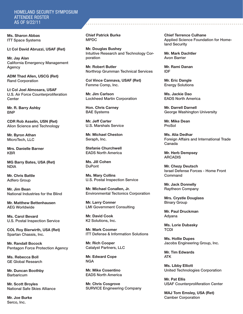#### HOMELAND SECURITY SYMPOSIUM ATTENDEE ROSTER AS OF 9/22/11

Ms. Sharon Abbas ITT Space Systems

Lt Col David Abruzzi, USAF (Ret)

Mr. Jay Alan California Emergency Management Agency

ADM Thad Allen, USCG (Ret) Rand Corporation

Lt Col Joel Almosara, USAF U.S. Air Force Counterproliferation **Center** 

Mr. R. Barry Ashby BNP

CDR Rob Asselin, USN (Ret) Alion Science and Technology

Mr. Byron Athan MicroTech, LLC

Mrs. Danielle Barner KBR

MG Barry Bates, USA (Ret) NDIA

Mr. Chris Battle Adfero Group

Mr. Jim Bean National Industries for the Blind

Mr. Matthew Bettenhausen AEG Worldwide

Ms. Carol Bevard U.S. Postal Inspection Service

COL Roy Bierwirth, USA (Ret) Spartan Chassis, Inc.

Mr. Randall Bocock Pentagon Force Protection Agency

Ms. Rebecca Boll GE Global Research

Mr. Duncan Boothby **Barbaricum** 

Mr. Scott Broyles National Safe Skies Alliance

Mr. Joe Burke Serco, Inc.

Chief Patrick Burke MPDC

Mr. Douglas Bushey Intuitive Research and Technology Corporation

Mr. Robert Butler Northrop Grumman Technical Services

Col Vince Cannava, USAF (Ret) Femme Comp, Inc.

Mr. Jim Carlson Lockheed Martin Corporation

Hon. Chris Carney BAE Systems

Mr. Jeff Carter U.S. Marshals Service

Mr. Michael Cheston Seraph, Inc.

Stefanie Churchwell EADS North America

Ms. Jill Cohen **DuPont** 

Ms. Mary Collins U.S. Postal Inspection Service

Mr. Michael Conallen, Jr. Environmental Tectonics Corporation

Mr. Larry Conner LMI Government Consulting

Mr. David Cook K2 Solutions, Inc.

Mr. Mark Coomer ITT Defense & Information Solutions

Mr. Rich Cooper Catalyst Partners, LLC

Mr. Edward Cope NGA

Mr. Mike Cosentino EADS North America

Mr. Chris Cosgrove SURVICE Engineering Company Chief Terrence Culhane Applied Science Foundation for Homeland Security

Mr. Mark Dachtler Avon Barrier

Mr. Rami Danan IDF

Mr. Eric Dangle Energy Solutions

Ms. Jackie Dao EADS North America

Mr. Darrell Darnell George Washington University

Mr. Mike Dean ProSol

Ms. Alia Dedhar Foreign Affairs and International Trade Canada

Mr. Herb Dempsey ARCADIS

Mr. Chezy Deutsch Israel Defense Forces - Home Front Command

Mr. Jack Donnelly Raytheon Company

Mrs. Crystle Douglass Binary Group

Mr. Paul Druckman Adyana

Ms. Lorie Dubasky **TCDI** 

Ms. Hollie Dupes Jacobs Engineering Group, Inc.

Mr. Tim Edwards ATK

Ms. Libby Elliott United Technologies Corporation

Mr. Pat Ellis USAF Counterproliferation Center

MAJ Tom Emsley, USA (Ret) Camber Corporation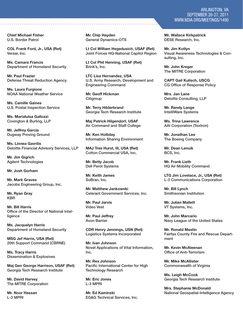#### Chief Michael Fisher U.S. Border Patrol

COL Frank Ford, Jr., USA (Ret) Versar, Inc.

Ms. Camara Francis Department of Homeland Security

Mr. Paul Frazier Defense Threat Reduction Agency

Ms. Laura Furgione NOAA National Weather Service

Ms. Camille Gaines U.S. Postal Inspection Service

Ms. Marialuisa Gallozzi Covington & Burling, LLP

Mr. Jeffrey Garcia Dugway Proving Ground

Ms. Linnea Gavrilis Deloitte Financial Advisory Services, LLP

Mr. Jim Gigrich Agilent Technologies

Mr. Josh Gorham

Mr. Mark Graves Jacobs Engineering Group, Inc.

Mr. Ryan Gray KBR

Mr. Bill Harris Office of the Director of National Intelligence

Ms. Jacquelyn Harris Department of Homeland Security

MSG Jef Harris, USA (Ret) 20th Support Command (CBRNE)

Ms. Tracy Harris Dissemination & Explosives

Maj Gen George Harrison, USAF (Ret) Georgia Tech Research Institute

Mr. David Harvey The MITRE Corporation

Mr. Noor Hassan L-3 MPRI

Mr. Chip Hayden General Dynamics-OTS

Lt Col William Hegedusich, USAF (Ret) Joint Forces HQ-National Capitol Region

Lt Col Phil Henning, USAF (Ret) Brink's, Inc.

LTC Lisa Hernandez, USA U.S. Army Research, Development and Engineering Command

Mr. Geoff Hickman **Citigroup** 

Mr. Terry Hilderbrand Georgia Tech Research Institute

Maj Patrick Hilgendorf, USAF Air Command and Staff College

Mr. Ken Holliday Information Sharing Environment

MAJ Tres Hurst, III, USA (Ret) Cotton Commercial USA, Inc.

Mr. Betty Jacob Dell Perot Systems

Mr. Keith James SoBran, Inc.

Mr. Matthew Jankowski Celerant Government Services, Inc.

Mr. Paul Jarvis Video Vest

Mr. Paul Jeffrey Avon Barrier

CDR Henry Jennings, USN (Ret) Logistics Systems Incorporated

Mr. Ivan Johnson Novel Applications of Vital Information, Inc.

Mr. Rex Johnson Pacific International Center for High Technology Research

Mr. Eric Jones L-3 MPRI

Mr. Ed Kaminski EG&G Technical Services, Inc.

#### ARLINGTON, VA SEPTEMBER 26-27, 2011 WWW.NDIA.ORG/MEETINGS/1490

Mr. Wallace Kirkpatrick DESE Research, Inc.

Mr. Jim Kotlyn Visual Awareness Technologies & Consulting, Inc.

Mr. John Kreger The MITRE Corporation

CAPT Gail Kulisch, USCG CG Office of Response Policy

Mrs. Jan Lane Deloitte Consulting, LLP

Mr. Randy Lange IntelliWare Systems

Ms. Trina Lawrence AAI Corporation (Textron)

Mr. Jonathan Lee The Boeing Company

Mr. Dean Lenuik BCS, Inc.

Mr. Frank Lieth HQ Air Mobility Command

LTG Jim Lovelace, Jr., USA (Ret) L-3 Communications Corporation

Mr. Bill Lynch Smithsonian Institution

Mr. Julian Mallett VT Systems, Inc.

Mr. John Marcario Navy League of the United States

Mr. Ronald Mastin Fairfax County Fire and Rescue Department

Mr. Kevin McAleenan Office of Anti-Terrorism

Mr. Mike McAllister Commonwealth of Virginia

Ms. Leigh McCook Georgia Tech Research Institute

Mrs. Stephanie McDonald National Geospatial-Intelligence Agency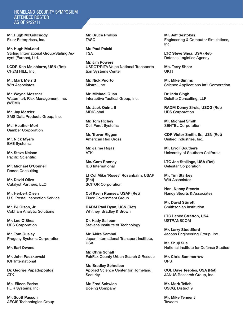#### HOMELAND SECURITY SYMPOSIUM ATTENDEE ROSTER AS OF 9/22/11

Mr. Hugh McGillicuddy Fluor Enterprises, Inc.

Mr. Hugh McLeod Stirling International Group/Stirling Assynt (Europe), Ltd.

LCDR Ken Melchiorre, USN (Ret) CH2M HILL, Inc.

Mr. Mark Merritt Witt Associates

Mr. Wayne Messner Watermark Risk Management, Inc. (WRMI)

Mr. Jay Metzler SMS Data Products Group, Inc.

Ms. Heather Mori Camber Corporation

Mr. Nick Myers BAE Systems

Mr. Steve Nelson Pacific Scientific

Mr. Michael O'Connell Roneo Consulting

Mr. David Olive Catalyst Partners, LLC

Mr. Herbert Olsen U.S. Postal Inspection Service

Mr. PJ Olson, Jr. Cobham Analytic Solutions

Mr. Leo O'Shea URS Corporation

Mr. Tom Ousley Progeny Systems Corporation

Mr. Earl Owens

Mr. John Paczkowski ICF International

Dr. George Papadopoulos ATK

Ms. Eileen Parise FLIR Systems, Inc.

Mr. Scott Passon AEGIS Technologies Group Mr. Bruce Phillips **TASC** 

Mr. Paul Polski **TSA** 

Mr. Jim Powers USDOT/RITA Volpe National Transportation Systems Center

Mr. Nick Puorto Mistral, Inc.

Mr. Michael Quan Interactive Tactical Group, Inc.

Mr. Jack Quint, II **MRIGIobal** 

Mr. Tom Richey Dell Perot Systems

Mr. Trevor Riggen American Red Cross

Mr. Jaime Rojas ATK

Ms. Cara Rooney IDS International

Lt Col Mike 'Rosey' Rosanbalm, USAF (Ret) SCITOR Corporation

Col Kevin Rumsey, USAF (Ret) Fluor Government Group

RADM Paul Ryan, USN (Ret) Whitney, Bradley & Brown

Dr. Hady Salloum Stevens Institute of Technology

Mr. Akira Sambai Japan International Transport Institute, USA

Mr. Chris Schaff FairFax County Urban Search & Rescue

Mr. Bradley Schreiber Applied Science Center for Homeland **Security** 

Mr. Fred Schwien Boeing Company

Mr. Jeff Sestokas Engineering & Computer Simulations, Inc.

LTC Steve Shea, USA (Ret) Defense Logistics Agency

Ms. Terry Shear UKTI

Mr. Mike Simms Science Applications Int'l Corporation

Dr. Indu Singh Deloitte Consulting, LLP

RADM Denny Sirois, USCG (Ret) URS Corporation

Mr. Michael Smith SENTEL Corporation

CDR Victor Smith, Sr., USN (Ret) Unified Industries, Inc.

Mr. Erroll Southers University of Southern California

LTC Joe Stallings, USA (Ret) Celestar Corporation

Mr. Tim Starkey Witt Associates

Hon. Nancy Steorts Nancy Steorts & Associates

Mr. David Stirrett Smithsonian Institution

LTC Lance Stratton, USA USTRANSCOM

Mr. Larry Studdiford Jacobs Engineering Group, Inc.

Mr. Shuji Sue National Institute for Defense Studies

Mr. Chris Summerrow UPS

COL Dave Teeples, USA (Ret) JANUS Research Group, Inc.

Mr. Mark Telich USCG, District 9

Mr. Mike Tennent Tavcom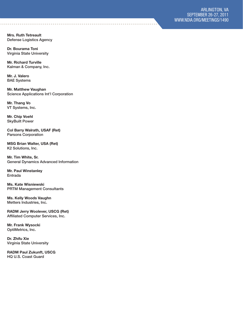Mrs. Ruth Tetreault Defense Logistics Agency

Dr. Bourama Toni Virginia State University

Mr. Richard Turville Kalman & Company, Inc.

Mr. J. Valero BAE Systems

Mr. Matthew Vaughan Science Applications Int'l Corporation

Mr. Thang Vo VT Systems, Inc.

Mr. Chip Voehl SkyBuilt Power

Col Barry Walrath, USAF (Ret) Parsons Corporation

MSG Brian Walter, USA (Ret) K2 Solutions, Inc.

Mr. Tim White, Sr. General Dynamics Advanced Information

Mr. Paul Winstanley Entrada

Ms. Kate Wisniewski PRTM Management Consultants

Ms. Kelly Woods Vaughn Metters Industries, Inc.

RADM Jerry Woolever, USCG (Ret) Affiliated Computer Services, Inc.

Mr. Frank Wysocki OptiMetrics, Inc.

Dr. Zhifu Xie Virginia State University

RADM Paul Zukunft, USCG HQ U.S. Coast Guard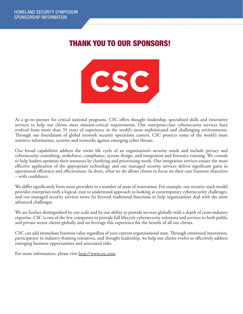### THANK YOU TO OUR SPONSORS!



As a go-to partner for critical national programs, CSC offers thought leadership, specialized skills and innovative services to help our clients meet mission-critical requirements. Our enterprise-class cybersecurity services have evolved from more than 35 years of experience in the world's most sophisticated and challenging environments. Through our foundation of global network security operations centers, CSC protects some of the world's most sensitive information, systems and networks against emerging cyber threats.

Our broad capabilities address the entire life cycle of an organization's security needs and include privacy and cybersecurity consulting, strikeforce, compliance, system design, and integration and forensics training. We consult to help leaders optimize their resources by clarifying and prioritizing needs. Our integration services ensure the most effective application of the appropriate technology and our managed security services deliver significant gains in operational efficiency and effectiveness. In short, what we do allows clients to focus on their core business objectives – with confidence.

We differ significantly from most providers in a number of areas of innovation. For example, our security stack model provides enterprises with a logical, easy to understand approach to looking at contemporary cybersecurity challenges, and our managed security services move far beyond traditional functions to help organizations deal with the most advanced challenges.

We are further distinguished by our scale and by our ability to provide services globally with a depth of cross-industry expertise. CSC is one of the few companies to provide full lifecycle cybersecurity solutions and services to both public and private sector clients globally and we leverage this experience for the benefit of all our clients.

CSC can add immediate business value regardless of your current organizational state. Through continued innovation, participation in industry-framing initiatives, and thought leadership, we help our clients evolve to effectively address emerging business opportunities and associated risks.

For more information, please visit http://www.csc.com.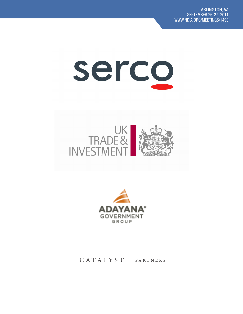# serco





CATALYST PARTNERS